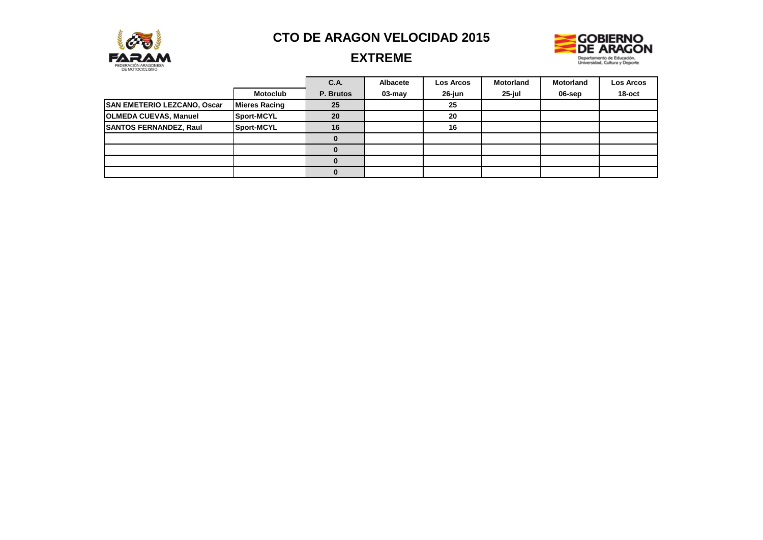



## **EXTREME**

|                               |                      | <b>C.A.</b>  | Albacete | <b>Los Arcos</b> | <b>Motorland</b> | <b>Motorland</b> | Los Arcos |
|-------------------------------|----------------------|--------------|----------|------------------|------------------|------------------|-----------|
|                               | <b>Motoclub</b>      | P. Brutos    | 03-may   | 26-jun           | 25-jul           | 06-sep           | 18-oct    |
| SAN EMETERIO LEZCANO, Oscar   | <b>Mieres Racing</b> | 25           |          | 25               |                  |                  |           |
| <b>OLMEDA CUEVAS, Manuel</b>  | Sport-MCYL           | 20           |          | 20               |                  |                  |           |
| <b>SANTOS FERNANDEZ, Raul</b> | Sport-MCYL           | 16           |          | 16               |                  |                  |           |
|                               |                      | <sup>0</sup> |          |                  |                  |                  |           |
|                               |                      |              |          |                  |                  |                  |           |
|                               |                      |              |          |                  |                  |                  |           |
|                               |                      |              |          |                  |                  |                  |           |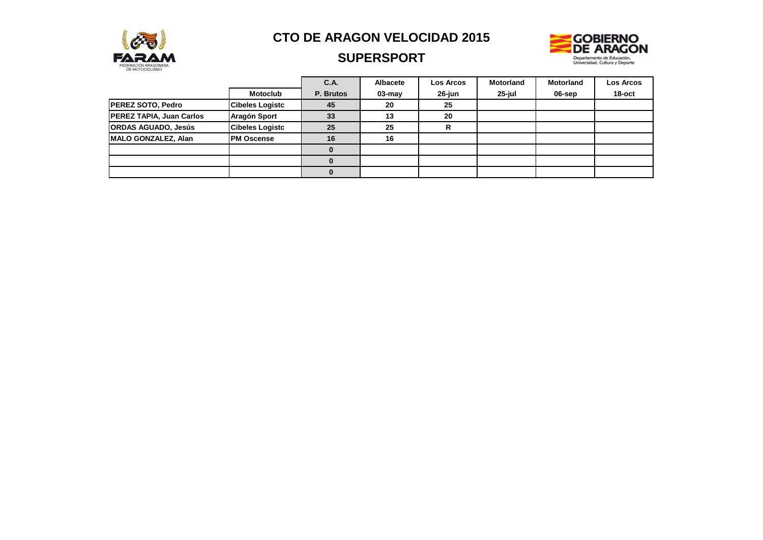

### **SUPERSPORT**



|                                 |                        | C.A.      | <b>Albacete</b> | <b>Los Arcos</b> | <b>Motorland</b> | <b>Motorland</b> | <b>Los Arcos</b> |
|---------------------------------|------------------------|-----------|-----------------|------------------|------------------|------------------|------------------|
|                                 | <b>Motoclub</b>        | P. Brutos | $03$ -may       | 26-jun           | 25-jul           | 06-sep           | 18-oct           |
| <b>PEREZ SOTO, Pedro</b>        | <b>Cibeles Logistc</b> | 45        | 20              | 25               |                  |                  |                  |
| <b>PEREZ TAPIA, Juan Carlos</b> | Aragón Sport           | 33        | 13              | 20               |                  |                  |                  |
| <b>ORDAS AGUADO, Jesús</b>      | <b>Cibeles Logistc</b> | 25        | 25              | R                |                  |                  |                  |
| MALO GONZALEZ, Alan             | <b>PM Oscense</b>      | 16        | 16              |                  |                  |                  |                  |
|                                 |                        | 0         |                 |                  |                  |                  |                  |
|                                 |                        | $\Omega$  |                 |                  |                  |                  |                  |
|                                 |                        | 0         |                 |                  |                  |                  |                  |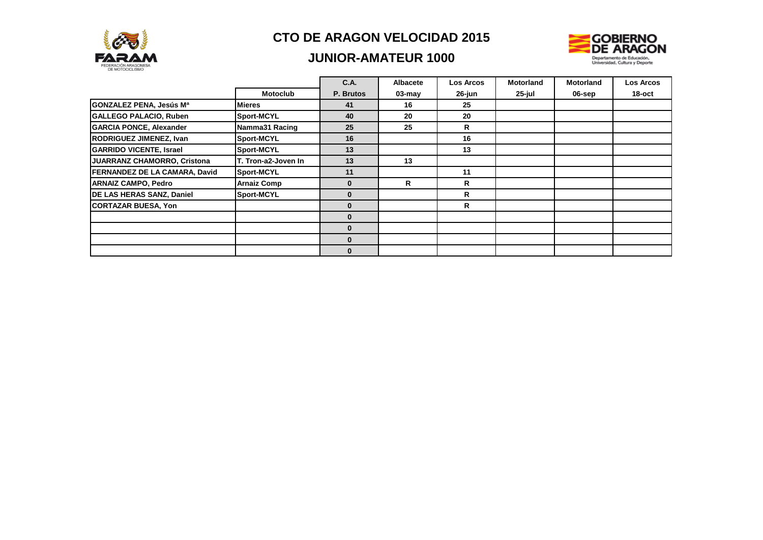

### **JUNIOR-AMATEUR 1000**



|                                      |                     | C.A.      | <b>Albacete</b> | Los Arcos | <b>Motorland</b> | <b>Motorland</b> | <b>Los Arcos</b> |
|--------------------------------------|---------------------|-----------|-----------------|-----------|------------------|------------------|------------------|
|                                      | <b>Motoclub</b>     | P. Brutos | $03 - may$      | 26-jun    | 25-jul           | 06-sep           | $18$ -oct        |
| GONZALEZ PENA, Jesús Mª              | <b>Mieres</b>       | 41        | 16              | 25        |                  |                  |                  |
| <b>GALLEGO PALACIO, Ruben</b>        | Sport-MCYL          | 40        | 20              | 20        |                  |                  |                  |
| <b>GARCIA PONCE, Alexander</b>       | Namma31 Racing      | 25        | 25              | R         |                  |                  |                  |
| <b>RODRIGUEZ JIMENEZ, Ivan</b>       | Sport-MCYL          | 16        |                 | 16        |                  |                  |                  |
| <b>GARRIDO VICENTE, Israel</b>       | Sport-MCYL          | 13        |                 | 13        |                  |                  |                  |
| JUARRANZ CHAMORRO, Cristona          | T. Tron-a2-Joven In | 13        | 13              |           |                  |                  |                  |
| <b>FERNANDEZ DE LA CAMARA, David</b> | Sport-MCYL          | 11        |                 | 11        |                  |                  |                  |
| <b>ARNAIZ CAMPO, Pedro</b>           | <b>Arnaiz Comp</b>  | $\Omega$  | R               | R         |                  |                  |                  |
| DE LAS HERAS SANZ, Daniel            | Sport-MCYL          |           |                 | R         |                  |                  |                  |
| <b>CORTAZAR BUESA, Yon</b>           |                     | 0         |                 | R         |                  |                  |                  |
|                                      |                     |           |                 |           |                  |                  |                  |
|                                      |                     | $\bf{0}$  |                 |           |                  |                  |                  |
|                                      |                     | 0         |                 |           |                  |                  |                  |
|                                      |                     | 0         |                 |           |                  |                  |                  |